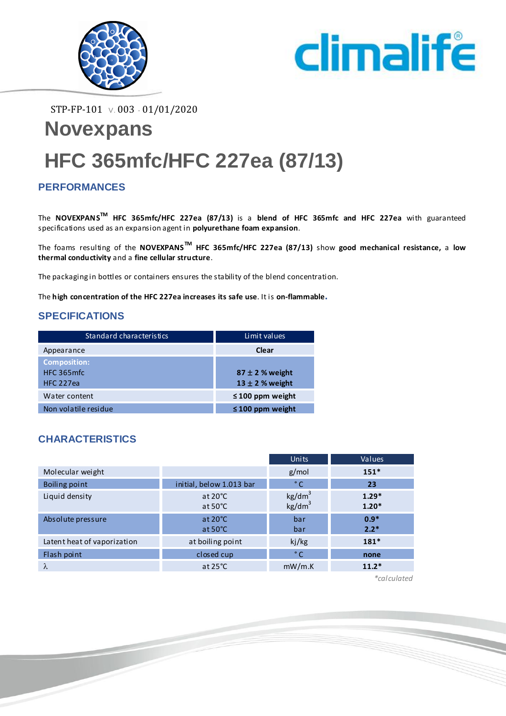



STP-FP-101 V. 003 - 01/01/2020

# **Novexpans HFC 365mfc/HFC 227ea (87/13)**

### **PERFORMANCES**

The **NOVEXPANSTM HFC 365mfc/HFC 227ea (87/13)** is a **blend of HFC 365mfc and HFC 227ea** with guaranteed specifications used as an expansion agent in **polyurethane foam expansion**.

The foams resulting of the **NOVEXPANSTM HFC 365mfc/HFC 227ea (87/13)** show **good mechanical resistance,** a **low thermal conductivity** and a **fine cellular structure**.

The packaging in bottles or containers ensures the stability of the blend concentration.

The **high concentration of the HFC 227ea increases its safe use**. It is **on-flammable.**

#### **SPECIFICATIONS**

| Standard characteristics                               | Limit values                               |
|--------------------------------------------------------|--------------------------------------------|
| Appearance                                             | Clear                                      |
| <b>Composition:</b><br>HFC 365 mfc<br><b>HFC 227ea</b> | $87 \pm 2$ % weight<br>$13 \pm 2$ % weight |
| Water content                                          | $\leq 100$ ppm weight                      |
| Non volatile residue                                   | $\leq 100$ ppm weight                      |

### **CHARACTERISTICS**

|                             |                                        | Units                                    | Values             |
|-----------------------------|----------------------------------------|------------------------------------------|--------------------|
| Molecular weight            |                                        | g/mol                                    | $151*$             |
| Boiling point               | initial, below 1.013 bar               | ° C                                      | 23                 |
| Liquid density              | at $20^{\circ}$ C<br>at $50^{\circ}$ C | kg/dm <sup>3</sup><br>kg/dm <sup>3</sup> | $1.29*$<br>$1.20*$ |
| Absolute pressure           | at $20^{\circ}$ C<br>at $50^{\circ}$ C | bar<br>bar                               | $0.9*$<br>$2.2*$   |
| Latent heat of vaporization | at boiling point                       | kj/kg                                    | $181*$             |
| Flash point                 | closed cup                             | $^{\circ}$ C                             | none               |
| λ                           | at $25^{\circ}$ C                      | mW/m.K                                   | $11.2*$            |

*\*calculated*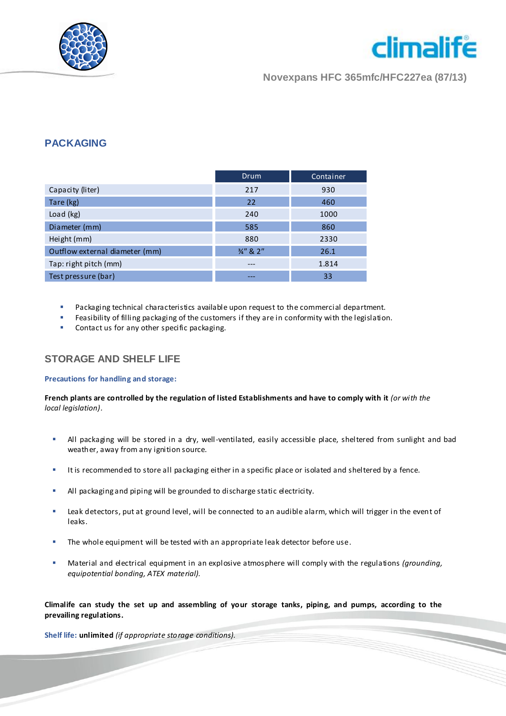



**Novexpans HFC 365mfc/HFC227ea (87/13)**

#### **PACKAGING**

|                                | <b>Drum</b> | Container |
|--------------------------------|-------------|-----------|
| Capacity (liter)               | 217         | 930       |
| Tare (kg)                      | 22          | 460       |
| Load (kg)                      | 240         | 1000      |
| Diameter (mm)                  | 585         | 860       |
| Height (mm)                    | 880         | 2330      |
| Outflow external diameter (mm) | 3/4" & 2"   | 26.1      |
| Tap: right pitch (mm)          | $---$       | 1.814     |
| Test pressure (bar)            |             | 33        |

- Packaging technical characteristics available upon request to the commercial department.
- Feasibility of filling packaging of the customers if they are in conformity with the legislation.
- Contact us for any other specific packaging.

#### **STORAGE AND SHELF LIFE**

#### **Precautions for handling and storage:**

**French plants are controlled by the regulation of listed Establishments and have to comply with it** *(or with the local legislation).*

- All packaging will be stored in a dry, well-ventilated, easily accessible place, sheltered from sunlight and bad weather, away from any ignition source.
- It is recommended to store all packaging either in a specific place or isolated and sheltered by a fence.
- All packaging and piping will be grounded to discharge static electricity.
- Leak detectors, put at ground level, will be connected to an audible alarm, which will trigger in the event of leaks.
- The whole equipment will be tested with an appropriate leak detector before use.
- Material and electrical equipment in an explosive atmosphere will comply with the regulations *(grounding, equipotential bonding, ATEX material).*

**Climalife can study the set up and assembling of your storage tanks, piping, and pumps, according to the prevailing regulations.**

**Shelf life: unlimited** *(if appropriate storage conditions).*